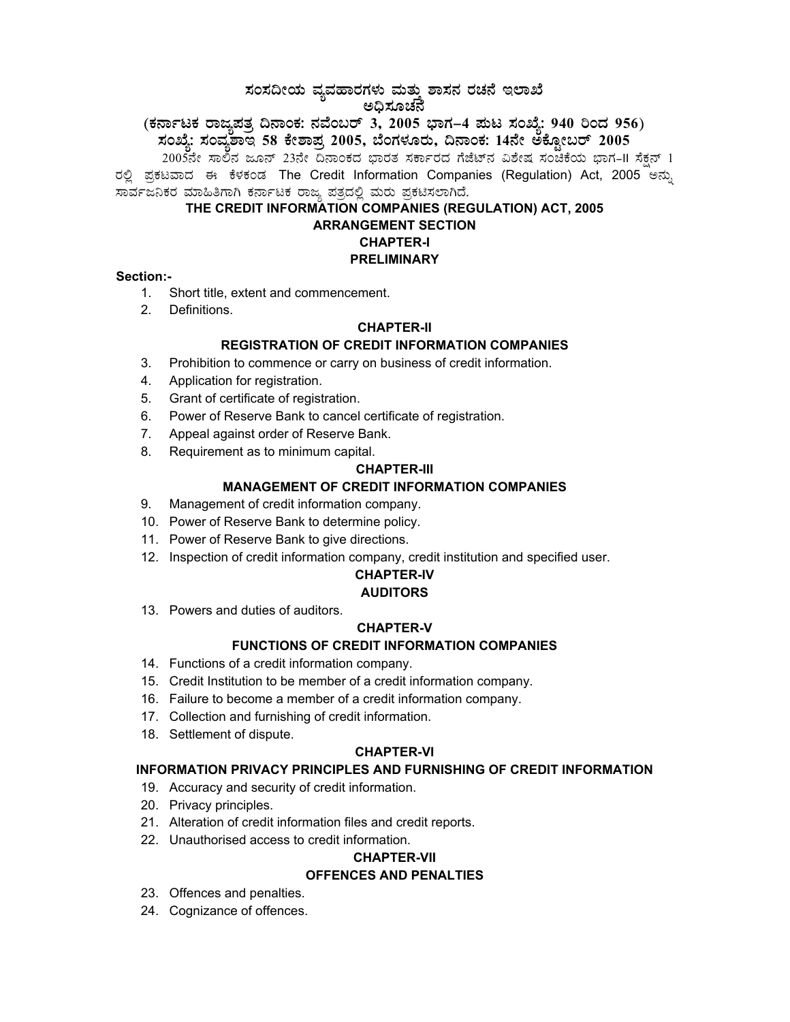# $\vec{a}$ ಸಂಸದೀಯ ವ್ಯವಹಾರಗಳು ಮತ್ತು ಶಾಸನ ರಚನೆ ಇಲಾಖೆ ಅಧಿಸೂಚನೆ

## (ಕರ್ನಾಟಕ ರಾಜ್ಯಪತ್ನ ದಿನಾಂಕ: ನವೆಂಬರ್ 3, 2005 ಭಾಗ–4 **ಮಟ ಸಂಖ್ಯೆ: 940 ರಿಂದ 956**) **¸ÀASÉå: ¸ÀAªÀå±ÁE 58 PÉñÁ¥Àæ 2005, ¨ÉAUÀ¼ÀÆgÀÄ, ¢£ÁAPÀ: 14£Éà CPÉÆÖçgï 2005**

2005ನೇ ಸಾಲಿನ ಜೂನ್ 23ನೇ ದಿನಾಂಕದ ಭಾರತ ಸರ್ಕಾರದ ಗೆಜೆಟ್ನ ವಿಶೇಷ ಸಂಚಿಕೆಯ ಭಾಗ–II ಸೆಕ್ಷನ್ 1 ರಲ್ಲಿ ಪ್ರಕಟವಾದ ಈ ಕೆಳಕಂಡ The Credit Information Companies (Regulation) Act, 2005 ಅನ್ನು ಸಾರ್ವಜನಿಕರ ಮಾಹಿತಿಗಾಗಿ ಕರ್ನಾಟಕ ರಾಜ್ಯ ಪತ್ರದಲ್ಲಿ ಮರು ಪ್ರಕಟಿಸಲಾಗಿದೆ.

#### **THE CREDIT INFORMATION COMPANIES (REGULATION) ACT, 2005 ARRANGEMENT SECTION**

## **CHAPTER-I**

## **PRELIMINARY**

## **Section:-**

- 1. Short title, extent and commencement.
- 2. Definitions.

## **CHAPTER-II**

## **REGISTRATION OF CREDIT INFORMATION COMPANIES**

- 3. Prohibition to commence or carry on business of credit information.
- 4. Application for registration.
- 5. Grant of certificate of registration.
- 6. Power of Reserve Bank to cancel certificate of registration.
- 7. Appeal against order of Reserve Bank.
- 8. Requirement as to minimum capital.

## **CHAPTER-III**

## **MANAGEMENT OF CREDIT INFORMATION COMPANIES**

- 9. Management of credit information company.
- 10. Power of Reserve Bank to determine policy.
- 11. Power of Reserve Bank to give directions.
- 12. Inspection of credit information company, credit institution and specified user.

# **CHAPTER-IV**

## **AUDITORS**

13. Powers and duties of auditors.

## **CHAPTER-V**

## **FUNCTIONS OF CREDIT INFORMATION COMPANIES**

- 14. Functions of a credit information company.
- 15. Credit Institution to be member of a credit information company.
- 16. Failure to become a member of a credit information company.
- 17. Collection and furnishing of credit information.
- 18. Settlement of dispute.

## **CHAPTER-VI**

## **INFORMATION PRIVACY PRINCIPLES AND FURNISHING OF CREDIT INFORMATION**

- 19. Accuracy and security of credit information.
- 20. Privacy principles.
- 21. Alteration of credit information files and credit reports.
- 22. Unauthorised access to credit information.

## **CHAPTER-VII**

## **OFFENCES AND PENALTIES**

- 23. Offences and penalties.
- 24. Cognizance of offences.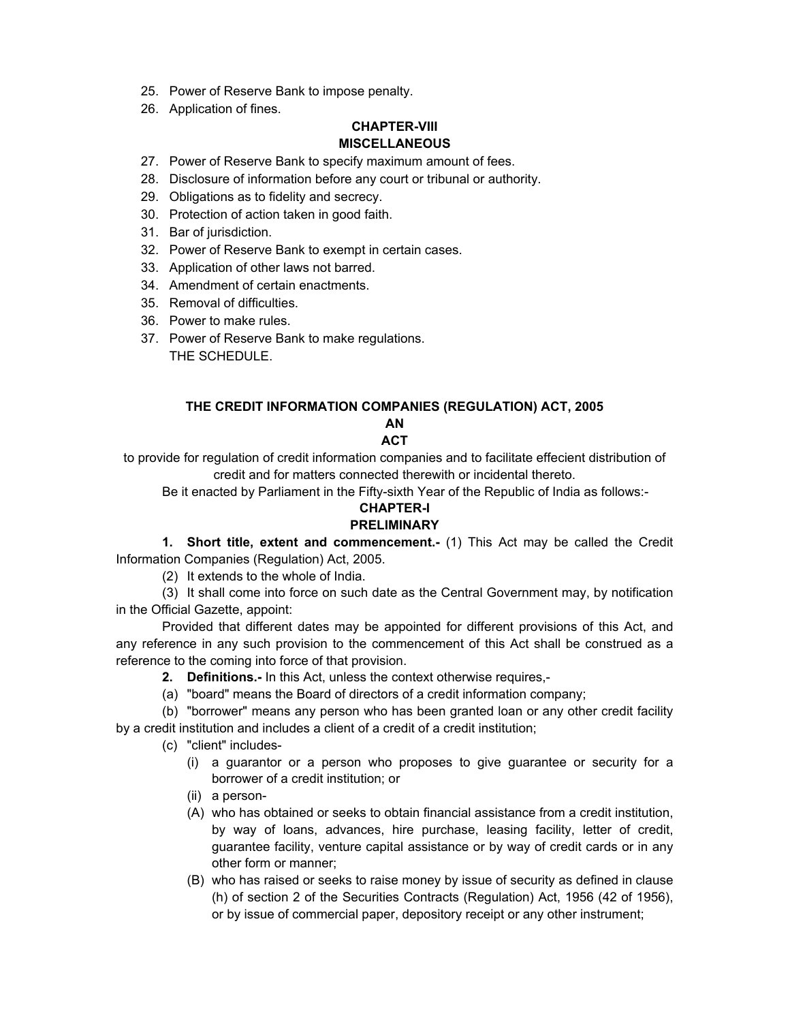- 25. Power of Reserve Bank to impose penalty.
- 26. Application of fines.

### **CHAPTER-VIII MISCELLANEOUS**

- 27. Power of Reserve Bank to specify maximum amount of fees.
- 28. Disclosure of information before any court or tribunal or authority.
- 29. Obligations as to fidelity and secrecy.
- 30. Protection of action taken in good faith.
- 31. Bar of jurisdiction.
- 32. Power of Reserve Bank to exempt in certain cases.
- 33. Application of other laws not barred.
- 34. Amendment of certain enactments.
- 35. Removal of difficulties.
- 36. Power to make rules.
- 37. Power of Reserve Bank to make regulations. THE SCHEDULE.

## **THE CREDIT INFORMATION COMPANIES (REGULATION) ACT, 2005**

#### **AN ACT**

to provide for regulation of credit information companies and to facilitate effecient distribution of credit and for matters connected therewith or incidental thereto.

Be it enacted by Parliament in the Fifty-sixth Year of the Republic of India as follows:-

## **CHAPTER-I**

## **PRELIMINARY**

**1. Short title, extent and commencement.-** (1) This Act may be called the Credit Information Companies (Regulation) Act, 2005.

(2) It extends to the whole of India.

(3) It shall come into force on such date as the Central Government may, by notification in the Official Gazette, appoint:

Provided that different dates may be appointed for different provisions of this Act, and any reference in any such provision to the commencement of this Act shall be construed as a reference to the coming into force of that provision.

- **2. Definitions.-** In this Act, unless the context otherwise requires,-
- (a) "board" means the Board of directors of a credit information company;

(b) "borrower" means any person who has been granted loan or any other credit facility by a credit institution and includes a client of a credit of a credit institution;

- (c) "client" includes-
	- (i) a guarantor or a person who proposes to give guarantee or security for a borrower of a credit institution; or
	- (ii) a person-
	- (A) who has obtained or seeks to obtain financial assistance from a credit institution, by way of loans, advances, hire purchase, leasing facility, letter of credit, guarantee facility, venture capital assistance or by way of credit cards or in any other form or manner;
	- (B) who has raised or seeks to raise money by issue of security as defined in clause (h) of section 2 of the Securities Contracts (Regulation) Act, 1956 (42 of 1956), or by issue of commercial paper, depository receipt or any other instrument;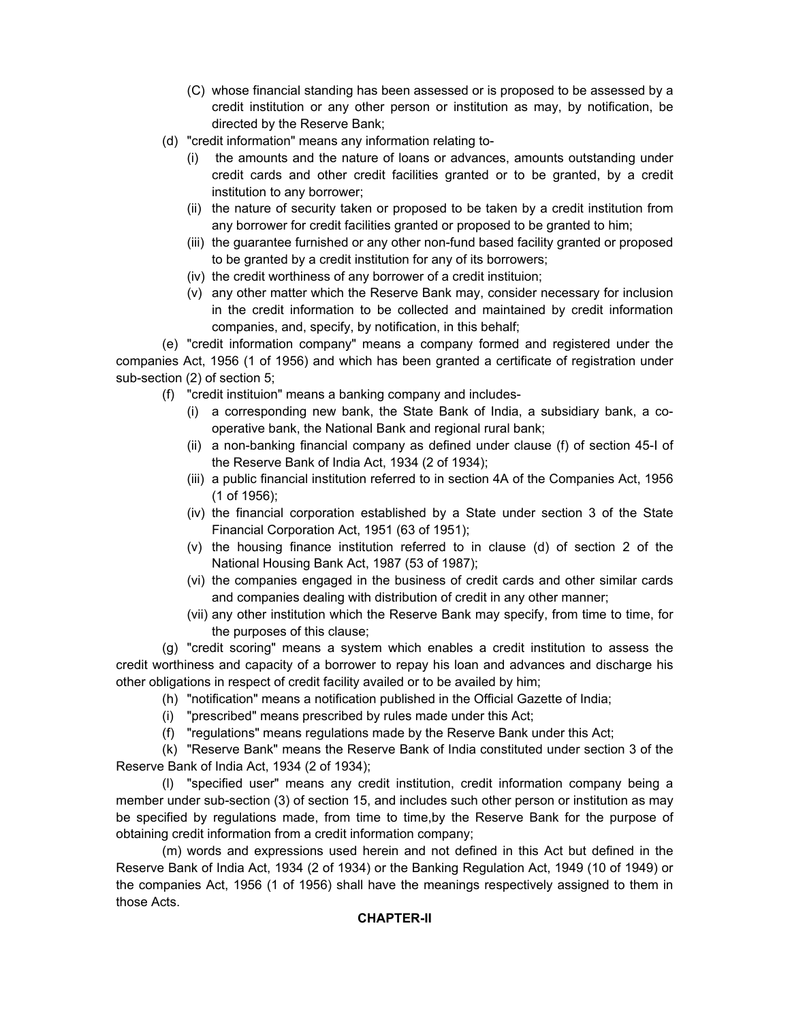- (C) whose financial standing has been assessed or is proposed to be assessed by a credit institution or any other person or institution as may, by notification, be directed by the Reserve Bank;
- (d) "credit information" means any information relating to-
	- (i) the amounts and the nature of loans or advances, amounts outstanding under credit cards and other credit facilities granted or to be granted, by a credit institution to any borrower;
	- (ii) the nature of security taken or proposed to be taken by a credit institution from any borrower for credit facilities granted or proposed to be granted to him;
	- (iii) the guarantee furnished or any other non-fund based facility granted or proposed to be granted by a credit institution for any of its borrowers;
	- (iv) the credit worthiness of any borrower of a credit instituion;
	- (v) any other matter which the Reserve Bank may, consider necessary for inclusion in the credit information to be collected and maintained by credit information companies, and, specify, by notification, in this behalf;

(e) "credit information company" means a company formed and registered under the companies Act, 1956 (1 of 1956) and which has been granted a certificate of registration under sub-section (2) of section 5;

- (f) "credit instituion" means a banking company and includes-
	- (i) a corresponding new bank, the State Bank of India, a subsidiary bank, a cooperative bank, the National Bank and regional rural bank;
	- (ii) a non-banking financial company as defined under clause (f) of section 45-I of the Reserve Bank of India Act, 1934 (2 of 1934);
	- (iii) a public financial institution referred to in section 4A of the Companies Act, 1956 (1 of 1956);
	- (iv) the financial corporation established by a State under section 3 of the State Financial Corporation Act, 1951 (63 of 1951);
	- (v) the housing finance institution referred to in clause (d) of section 2 of the National Housing Bank Act, 1987 (53 of 1987);
	- (vi) the companies engaged in the business of credit cards and other similar cards and companies dealing with distribution of credit in any other manner;
	- (vii) any other institution which the Reserve Bank may specify, from time to time, for the purposes of this clause;

(g) "credit scoring" means a system which enables a credit institution to assess the credit worthiness and capacity of a borrower to repay his loan and advances and discharge his other obligations in respect of credit facility availed or to be availed by him;

- (h) "notification" means a notification published in the Official Gazette of India;
- (i) "prescribed" means prescribed by rules made under this Act;
- (f) "regulations" means regulations made by the Reserve Bank under this Act;

(k) "Reserve Bank" means the Reserve Bank of India constituted under section 3 of the Reserve Bank of India Act, 1934 (2 of 1934);

(l) "specified user" means any credit institution, credit information company being a member under sub-section (3) of section 15, and includes such other person or institution as may be specified by regulations made, from time to time,by the Reserve Bank for the purpose of obtaining credit information from a credit information company;

(m) words and expressions used herein and not defined in this Act but defined in the Reserve Bank of India Act, 1934 (2 of 1934) or the Banking Regulation Act, 1949 (10 of 1949) or the companies Act, 1956 (1 of 1956) shall have the meanings respectively assigned to them in those Acts.

## **CHAPTER-II**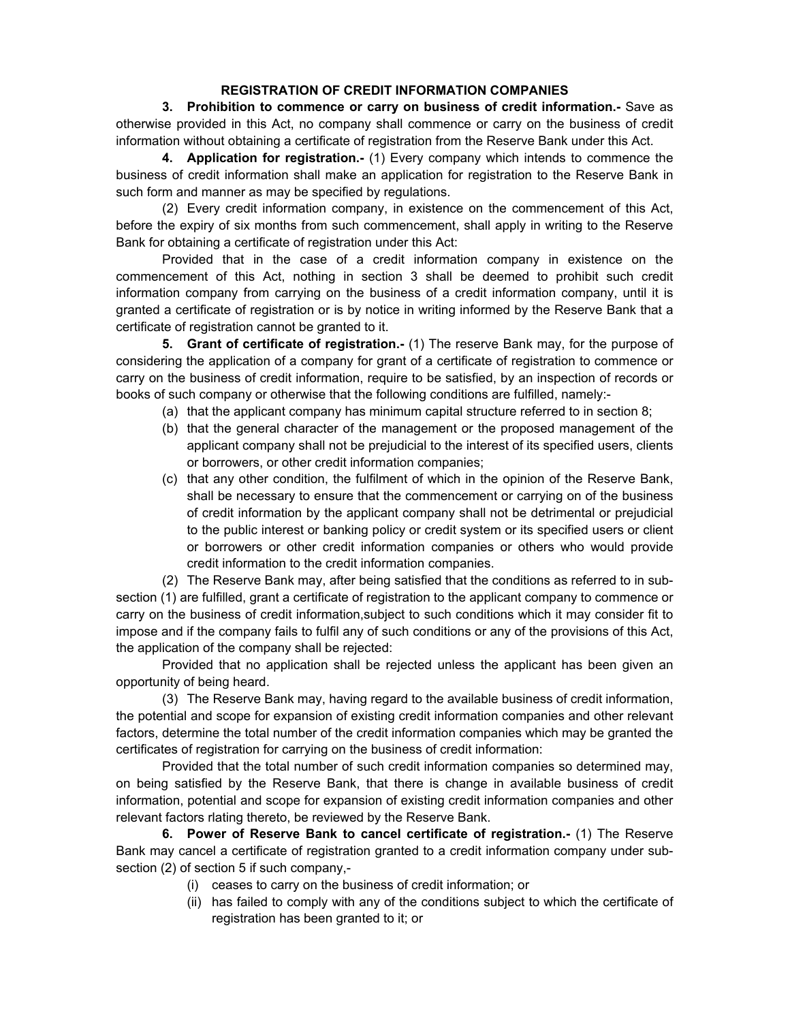## **REGISTRATION OF CREDIT INFORMATION COMPANIES**

**3. Prohibition to commence or carry on business of credit information.-** Save as otherwise provided in this Act, no company shall commence or carry on the business of credit information without obtaining a certificate of registration from the Reserve Bank under this Act.

**4. Application for registration.-** (1) Every company which intends to commence the business of credit information shall make an application for registration to the Reserve Bank in such form and manner as may be specified by regulations.

(2) Every credit information company, in existence on the commencement of this Act, before the expiry of six months from such commencement, shall apply in writing to the Reserve Bank for obtaining a certificate of registration under this Act:

Provided that in the case of a credit information company in existence on the commencement of this Act, nothing in section 3 shall be deemed to prohibit such credit information company from carrying on the business of a credit information company, until it is granted a certificate of registration or is by notice in writing informed by the Reserve Bank that a certificate of registration cannot be granted to it.

**5. Grant of certificate of registration.-** (1) The reserve Bank may, for the purpose of considering the application of a company for grant of a certificate of registration to commence or carry on the business of credit information, require to be satisfied, by an inspection of records or books of such company or otherwise that the following conditions are fulfilled, namely:-

- (a) that the applicant company has minimum capital structure referred to in section 8;
- (b) that the general character of the management or the proposed management of the applicant company shall not be prejudicial to the interest of its specified users, clients or borrowers, or other credit information companies;
- (c) that any other condition, the fulfilment of which in the opinion of the Reserve Bank, shall be necessary to ensure that the commencement or carrying on of the business of credit information by the applicant company shall not be detrimental or prejudicial to the public interest or banking policy or credit system or its specified users or client or borrowers or other credit information companies or others who would provide credit information to the credit information companies.

(2) The Reserve Bank may, after being satisfied that the conditions as referred to in subsection (1) are fulfilled, grant a certificate of registration to the applicant company to commence or carry on the business of credit information,subject to such conditions which it may consider fit to impose and if the company fails to fulfil any of such conditions or any of the provisions of this Act, the application of the company shall be rejected:

Provided that no application shall be rejected unless the applicant has been given an opportunity of being heard.

(3) The Reserve Bank may, having regard to the available business of credit information, the potential and scope for expansion of existing credit information companies and other relevant factors, determine the total number of the credit information companies which may be granted the certificates of registration for carrying on the business of credit information:

Provided that the total number of such credit information companies so determined may, on being satisfied by the Reserve Bank, that there is change in available business of credit information, potential and scope for expansion of existing credit information companies and other relevant factors rlating thereto, be reviewed by the Reserve Bank.

**6. Power of Reserve Bank to cancel certificate of registration.-** (1) The Reserve Bank may cancel a certificate of registration granted to a credit information company under subsection (2) of section 5 if such company,-

- (i) ceases to carry on the business of credit information; or
- (ii) has failed to comply with any of the conditions subject to which the certificate of registration has been granted to it; or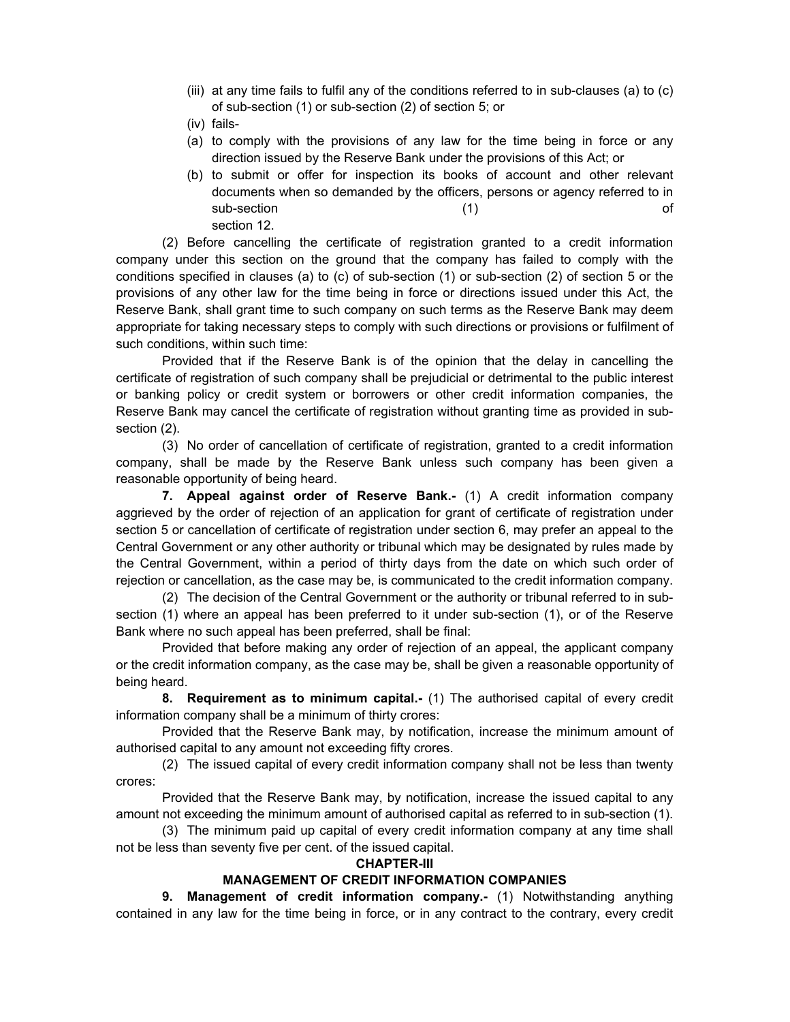- (iii) at any time fails to fulfil any of the conditions referred to in sub-clauses (a) to (c) of sub-section (1) or sub-section (2) of section 5; or
- (iv) fails-
- (a) to comply with the provisions of any law for the time being in force or any direction issued by the Reserve Bank under the provisions of this Act; or
- (b) to submit or offer for inspection its books of account and other relevant documents when so demanded by the officers, persons or agency referred to in sub-section of the contract of the contract of the contract of the contract of the contract of the contract of the contract of the contract of the contract of the contract of the contract of the contract of the contract of section 12.

(2) Before cancelling the certificate of registration granted to a credit information company under this section on the ground that the company has failed to comply with the conditions specified in clauses (a) to (c) of sub-section (1) or sub-section (2) of section 5 or the provisions of any other law for the time being in force or directions issued under this Act, the Reserve Bank, shall grant time to such company on such terms as the Reserve Bank may deem appropriate for taking necessary steps to comply with such directions or provisions or fulfilment of such conditions, within such time:

Provided that if the Reserve Bank is of the opinion that the delay in cancelling the certificate of registration of such company shall be prejudicial or detrimental to the public interest or banking policy or credit system or borrowers or other credit information companies, the Reserve Bank may cancel the certificate of registration without granting time as provided in subsection (2).

(3) No order of cancellation of certificate of registration, granted to a credit information company, shall be made by the Reserve Bank unless such company has been given a reasonable opportunity of being heard.

**7. Appeal against order of Reserve Bank.-** (1) A credit information company aggrieved by the order of rejection of an application for grant of certificate of registration under section 5 or cancellation of certificate of registration under section 6, may prefer an appeal to the Central Government or any other authority or tribunal which may be designated by rules made by the Central Government, within a period of thirty days from the date on which such order of rejection or cancellation, as the case may be, is communicated to the credit information company.

(2) The decision of the Central Government or the authority or tribunal referred to in subsection (1) where an appeal has been preferred to it under sub-section (1), or of the Reserve Bank where no such appeal has been preferred, shall be final:

Provided that before making any order of rejection of an appeal, the applicant company or the credit information company, as the case may be, shall be given a reasonable opportunity of being heard.

**8. Requirement as to minimum capital.-** (1) The authorised capital of every credit information company shall be a minimum of thirty crores:

Provided that the Reserve Bank may, by notification, increase the minimum amount of authorised capital to any amount not exceeding fifty crores.

(2) The issued capital of every credit information company shall not be less than twenty crores:

Provided that the Reserve Bank may, by notification, increase the issued capital to any amount not exceeding the minimum amount of authorised capital as referred to in sub-section (1).

(3) The minimum paid up capital of every credit information company at any time shall not be less than seventy five per cent. of the issued capital.

#### **CHAPTER-III**

## **MANAGEMENT OF CREDIT INFORMATION COMPANIES**

**9. Management of credit information company.-** (1) Notwithstanding anything contained in any law for the time being in force, or in any contract to the contrary, every credit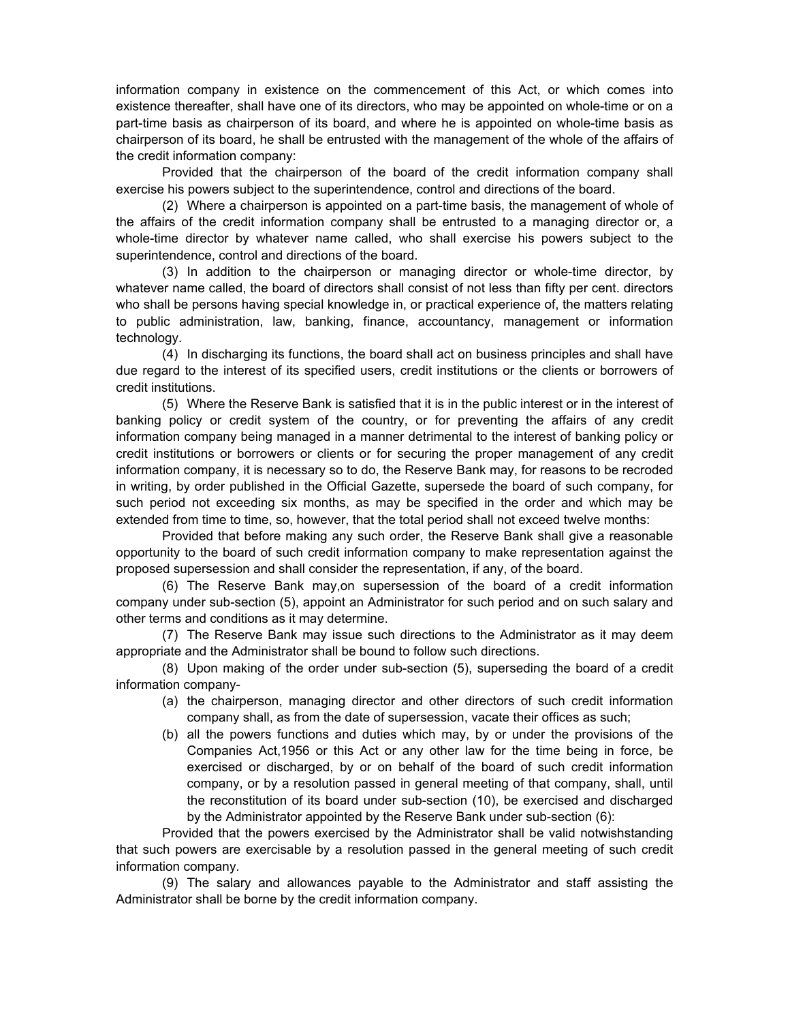information company in existence on the commencement of this Act, or which comes into existence thereafter, shall have one of its directors, who may be appointed on whole-time or on a part-time basis as chairperson of its board, and where he is appointed on whole-time basis as chairperson of its board, he shall be entrusted with the management of the whole of the affairs of the credit information company:

Provided that the chairperson of the board of the credit information company shall exercise his powers subject to the superintendence, control and directions of the board.

(2) Where a chairperson is appointed on a part-time basis, the management of whole of the affairs of the credit information company shall be entrusted to a managing director or, a whole-time director by whatever name called, who shall exercise his powers subject to the superintendence, control and directions of the board.

(3) In addition to the chairperson or managing director or whole-time director, by whatever name called, the board of directors shall consist of not less than fifty per cent. directors who shall be persons having special knowledge in, or practical experience of, the matters relating to public administration, law, banking, finance, accountancy, management or information technology.

(4) In discharging its functions, the board shall act on business principles and shall have due regard to the interest of its specified users, credit institutions or the clients or borrowers of credit institutions.

(5) Where the Reserve Bank is satisfied that it is in the public interest or in the interest of banking policy or credit system of the country, or for preventing the affairs of any credit information company being managed in a manner detrimental to the interest of banking policy or credit institutions or borrowers or clients or for securing the proper management of any credit information company, it is necessary so to do, the Reserve Bank may, for reasons to be recroded in writing, by order published in the Official Gazette, supersede the board of such company, for such period not exceeding six months, as may be specified in the order and which may be extended from time to time, so, however, that the total period shall not exceed twelve months:

Provided that before making any such order, the Reserve Bank shall give a reasonable opportunity to the board of such credit information company to make representation against the proposed supersession and shall consider the representation, if any, of the board.

(6) The Reserve Bank may,on supersession of the board of a credit information company under sub-section (5), appoint an Administrator for such period and on such salary and other terms and conditions as it may determine.

(7) The Reserve Bank may issue such directions to the Administrator as it may deem appropriate and the Administrator shall be bound to follow such directions.

(8) Upon making of the order under sub-section (5), superseding the board of a credit information company-

- (a) the chairperson, managing director and other directors of such credit information company shall, as from the date of supersession, vacate their offices as such;
- (b) all the powers functions and duties which may, by or under the provisions of the Companies Act,1956 or this Act or any other law for the time being in force, be exercised or discharged, by or on behalf of the board of such credit information company, or by a resolution passed in general meeting of that company, shall, until the reconstitution of its board under sub-section (10), be exercised and discharged by the Administrator appointed by the Reserve Bank under sub-section (6):

Provided that the powers exercised by the Administrator shall be valid notwishstanding that such powers are exercisable by a resolution passed in the general meeting of such credit information company.

(9) The salary and allowances payable to the Administrator and staff assisting the Administrator shall be borne by the credit information company.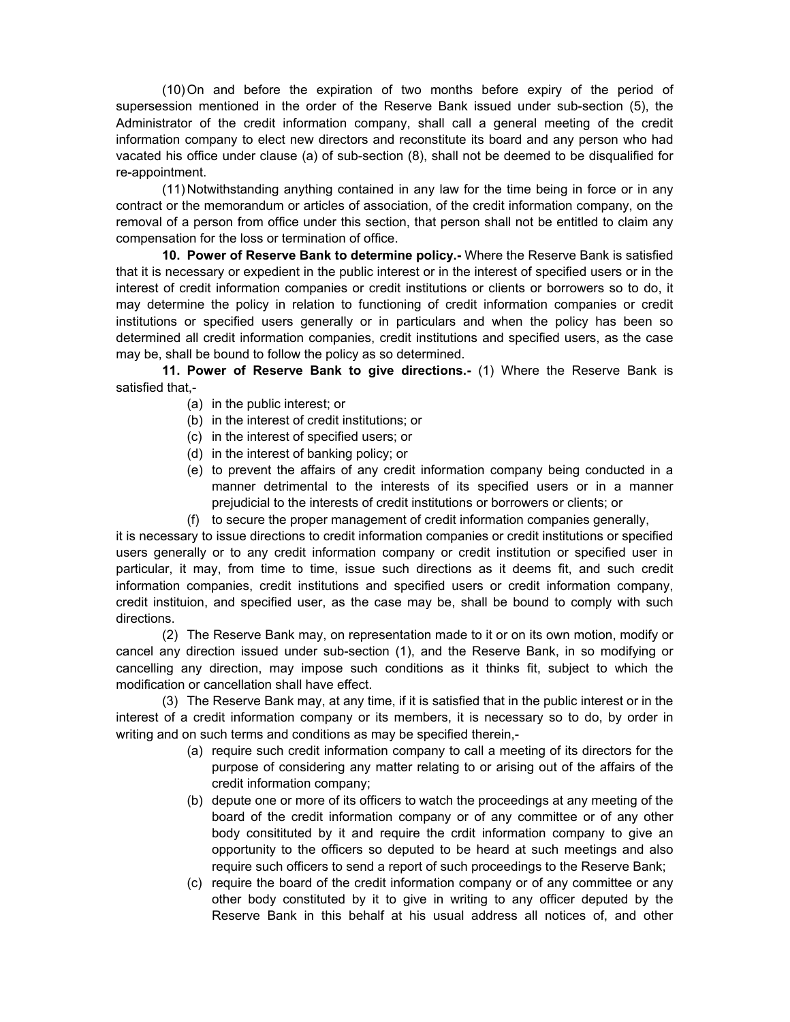(10) On and before the expiration of two months before expiry of the period of supersession mentioned in the order of the Reserve Bank issued under sub-section (5), the Administrator of the credit information company, shall call a general meeting of the credit information company to elect new directors and reconstitute its board and any person who had vacated his office under clause (a) of sub-section (8), shall not be deemed to be disqualified for re-appointment.

(11) Notwithstanding anything contained in any law for the time being in force or in any contract or the memorandum or articles of association, of the credit information company, on the removal of a person from office under this section, that person shall not be entitled to claim any compensation for the loss or termination of office.

**10. Power of Reserve Bank to determine policy.-** Where the Reserve Bank is satisfied that it is necessary or expedient in the public interest or in the interest of specified users or in the interest of credit information companies or credit institutions or clients or borrowers so to do, it may determine the policy in relation to functioning of credit information companies or credit institutions or specified users generally or in particulars and when the policy has been so determined all credit information companies, credit institutions and specified users, as the case may be, shall be bound to follow the policy as so determined.

**11. Power of Reserve Bank to give directions.-** (1) Where the Reserve Bank is satisfied that,-

- (a) in the public interest; or
- (b) in the interest of credit institutions; or
- (c) in the interest of specified users; or
- (d) in the interest of banking policy; or
- (e) to prevent the affairs of any credit information company being conducted in a manner detrimental to the interests of its specified users or in a manner prejudicial to the interests of credit institutions or borrowers or clients; or
- (f) to secure the proper management of credit information companies generally,

it is necessary to issue directions to credit information companies or credit institutions or specified users generally or to any credit information company or credit institution or specified user in particular, it may, from time to time, issue such directions as it deems fit, and such credit information companies, credit institutions and specified users or credit information company, credit instituion, and specified user, as the case may be, shall be bound to comply with such directions.

(2) The Reserve Bank may, on representation made to it or on its own motion, modify or cancel any direction issued under sub-section (1), and the Reserve Bank, in so modifying or cancelling any direction, may impose such conditions as it thinks fit, subject to which the modification or cancellation shall have effect.

(3) The Reserve Bank may, at any time, if it is satisfied that in the public interest or in the interest of a credit information company or its members, it is necessary so to do, by order in writing and on such terms and conditions as may be specified therein,-

- (a) require such credit information company to call a meeting of its directors for the purpose of considering any matter relating to or arising out of the affairs of the credit information company;
- (b) depute one or more of its officers to watch the proceedings at any meeting of the board of the credit information company or of any committee or of any other body consitituted by it and require the crdit information company to give an opportunity to the officers so deputed to be heard at such meetings and also require such officers to send a report of such proceedings to the Reserve Bank;
- (c) require the board of the credit information company or of any committee or any other body constituted by it to give in writing to any officer deputed by the Reserve Bank in this behalf at his usual address all notices of, and other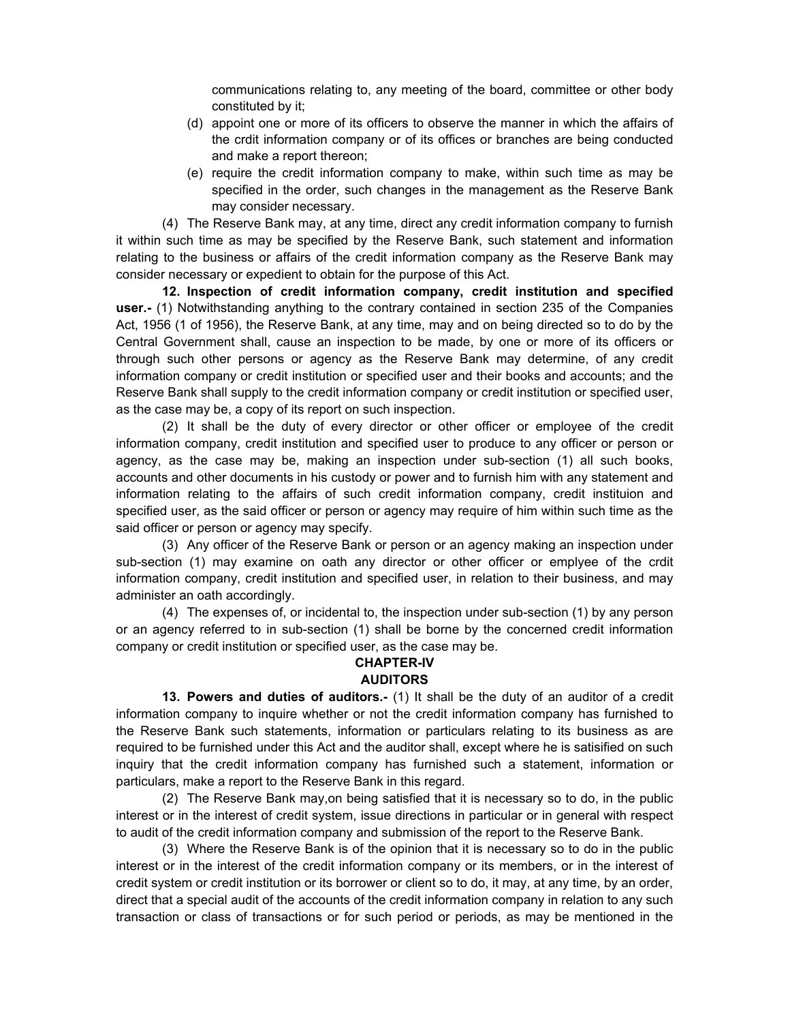communications relating to, any meeting of the board, committee or other body constituted by it;

- (d) appoint one or more of its officers to observe the manner in which the affairs of the crdit information company or of its offices or branches are being conducted and make a report thereon;
- (e) require the credit information company to make, within such time as may be specified in the order, such changes in the management as the Reserve Bank may consider necessary.

(4) The Reserve Bank may, at any time, direct any credit information company to furnish it within such time as may be specified by the Reserve Bank, such statement and information relating to the business or affairs of the credit information company as the Reserve Bank may consider necessary or expedient to obtain for the purpose of this Act.

**12. Inspection of credit information company, credit institution and specified user.-** (1) Notwithstanding anything to the contrary contained in section 235 of the Companies Act, 1956 (1 of 1956), the Reserve Bank, at any time, may and on being directed so to do by the Central Government shall, cause an inspection to be made, by one or more of its officers or through such other persons or agency as the Reserve Bank may determine, of any credit information company or credit institution or specified user and their books and accounts; and the Reserve Bank shall supply to the credit information company or credit institution or specified user, as the case may be, a copy of its report on such inspection.

(2) It shall be the duty of every director or other officer or employee of the credit information company, credit institution and specified user to produce to any officer or person or agency, as the case may be, making an inspection under sub-section (1) all such books, accounts and other documents in his custody or power and to furnish him with any statement and information relating to the affairs of such credit information company, credit instituion and specified user, as the said officer or person or agency may require of him within such time as the said officer or person or agency may specify.

(3) Any officer of the Reserve Bank or person or an agency making an inspection under sub-section (1) may examine on oath any director or other officer or emplyee of the crdit information company, credit institution and specified user, in relation to their business, and may administer an oath accordingly.

(4) The expenses of, or incidental to, the inspection under sub-section (1) by any person or an agency referred to in sub-section (1) shall be borne by the concerned credit information company or credit institution or specified user, as the case may be.

## **CHAPTER-IV AUDITORS**

**13. Powers and duties of auditors.-** (1) It shall be the duty of an auditor of a credit information company to inquire whether or not the credit information company has furnished to the Reserve Bank such statements, information or particulars relating to its business as are required to be furnished under this Act and the auditor shall, except where he is satisified on such inquiry that the credit information company has furnished such a statement, information or particulars, make a report to the Reserve Bank in this regard.

(2) The Reserve Bank may,on being satisfied that it is necessary so to do, in the public interest or in the interest of credit system, issue directions in particular or in general with respect to audit of the credit information company and submission of the report to the Reserve Bank.

(3) Where the Reserve Bank is of the opinion that it is necessary so to do in the public interest or in the interest of the credit information company or its members, or in the interest of credit system or credit institution or its borrower or client so to do, it may, at any time, by an order, direct that a special audit of the accounts of the credit information company in relation to any such transaction or class of transactions or for such period or periods, as may be mentioned in the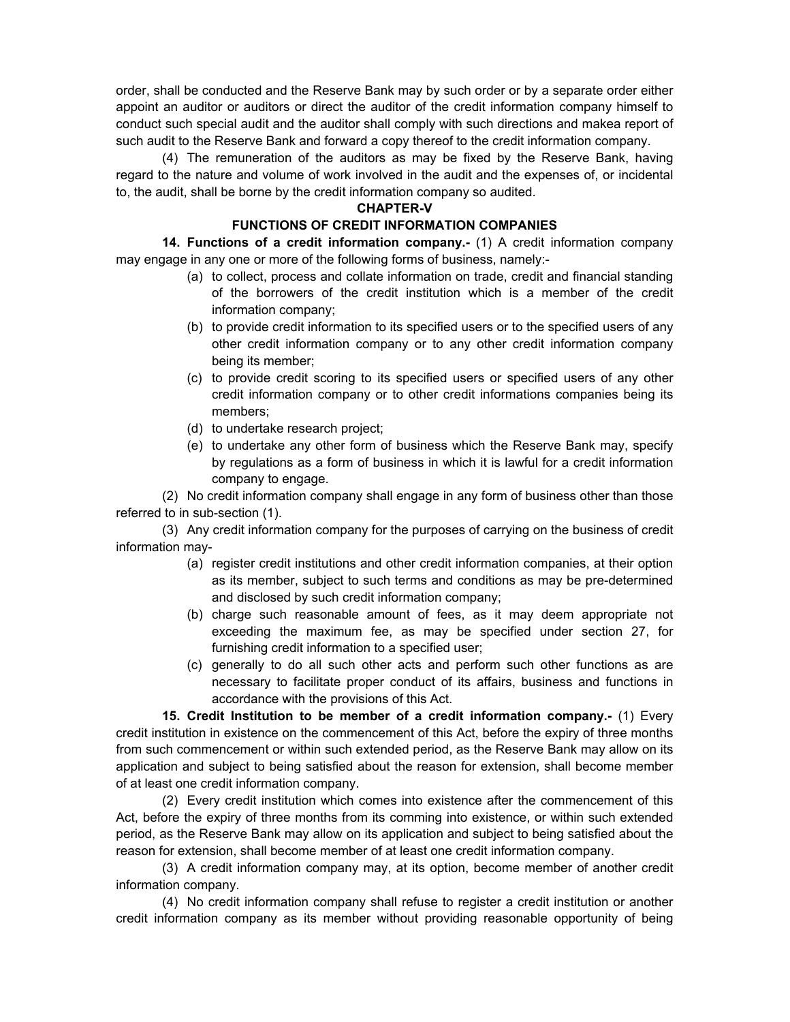order, shall be conducted and the Reserve Bank may by such order or by a separate order either appoint an auditor or auditors or direct the auditor of the credit information company himself to conduct such special audit and the auditor shall comply with such directions and makea report of such audit to the Reserve Bank and forward a copy thereof to the credit information company.

(4) The remuneration of the auditors as may be fixed by the Reserve Bank, having regard to the nature and volume of work involved in the audit and the expenses of, or incidental to, the audit, shall be borne by the credit information company so audited.

#### **CHAPTER-V**

#### **FUNCTIONS OF CREDIT INFORMATION COMPANIES**

**14. Functions of a credit information company.-** (1) A credit information company may engage in any one or more of the following forms of business, namely:-

- (a) to collect, process and collate information on trade, credit and financial standing of the borrowers of the credit institution which is a member of the credit information company;
- (b) to provide credit information to its specified users or to the specified users of any other credit information company or to any other credit information company being its member;
- (c) to provide credit scoring to its specified users or specified users of any other credit information company or to other credit informations companies being its members;
- (d) to undertake research project;
- (e) to undertake any other form of business which the Reserve Bank may, specify by regulations as a form of business in which it is lawful for a credit information company to engage.

(2) No credit information company shall engage in any form of business other than those referred to in sub-section (1).

(3) Any credit information company for the purposes of carrying on the business of credit information may-

- (a) register credit institutions and other credit information companies, at their option as its member, subject to such terms and conditions as may be pre-determined and disclosed by such credit information company;
- (b) charge such reasonable amount of fees, as it may deem appropriate not exceeding the maximum fee, as may be specified under section 27, for furnishing credit information to a specified user;
- (c) generally to do all such other acts and perform such other functions as are necessary to facilitate proper conduct of its affairs, business and functions in accordance with the provisions of this Act.

**15. Credit Institution to be member of a credit information company.-** (1) Every credit institution in existence on the commencement of this Act, before the expiry of three months from such commencement or within such extended period, as the Reserve Bank may allow on its application and subject to being satisfied about the reason for extension, shall become member of at least one credit information company.

(2) Every credit institution which comes into existence after the commencement of this Act, before the expiry of three months from its comming into existence, or within such extended period, as the Reserve Bank may allow on its application and subject to being satisfied about the reason for extension, shall become member of at least one credit information company.

(3) A credit information company may, at its option, become member of another credit information company.

(4) No credit information company shall refuse to register a credit institution or another credit information company as its member without providing reasonable opportunity of being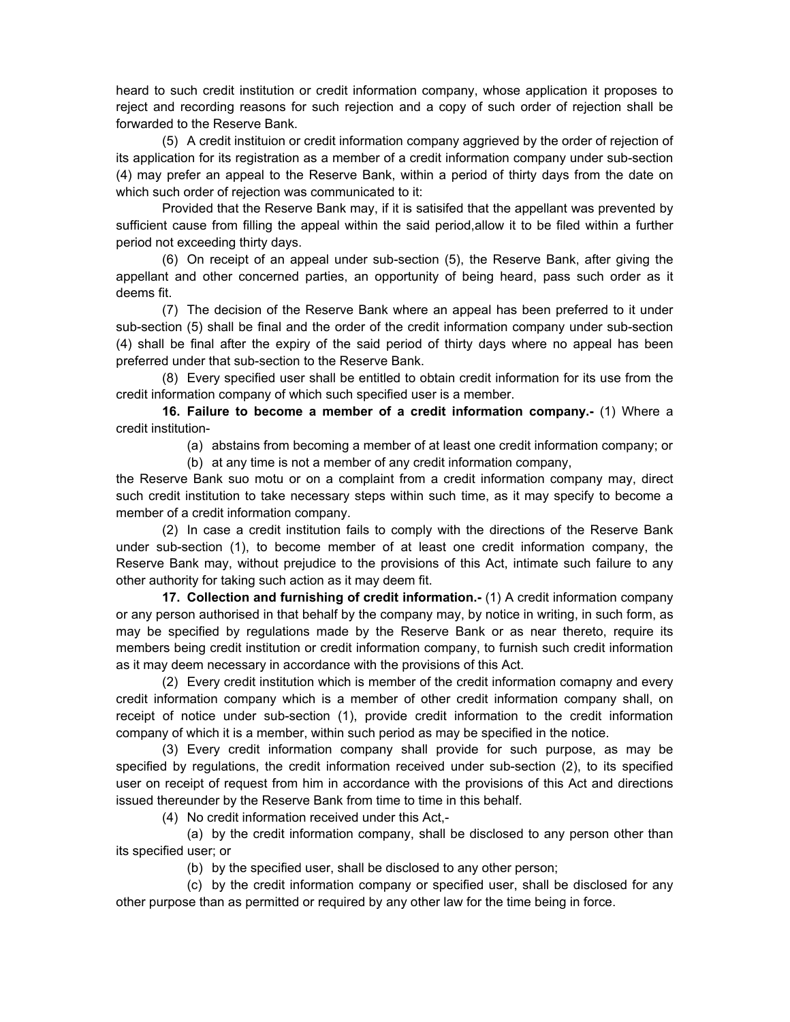heard to such credit institution or credit information company, whose application it proposes to reject and recording reasons for such rejection and a copy of such order of rejection shall be forwarded to the Reserve Bank.

(5) A credit instituion or credit information company aggrieved by the order of rejection of its application for its registration as a member of a credit information company under sub-section (4) may prefer an appeal to the Reserve Bank, within a period of thirty days from the date on which such order of rejection was communicated to it:

Provided that the Reserve Bank may, if it is satisifed that the appellant was prevented by sufficient cause from filling the appeal within the said period,allow it to be filed within a further period not exceeding thirty days.

(6) On receipt of an appeal under sub-section (5), the Reserve Bank, after giving the appellant and other concerned parties, an opportunity of being heard, pass such order as it deems fit.

(7) The decision of the Reserve Bank where an appeal has been preferred to it under sub-section (5) shall be final and the order of the credit information company under sub-section (4) shall be final after the expiry of the said period of thirty days where no appeal has been preferred under that sub-section to the Reserve Bank.

(8) Every specified user shall be entitled to obtain credit information for its use from the credit information company of which such specified user is a member.

**16. Failure to become a member of a credit information company.-** (1) Where a credit institution-

(a) abstains from becoming a member of at least one credit information company; or

(b) at any time is not a member of any credit information company,

the Reserve Bank suo motu or on a complaint from a credit information company may, direct such credit institution to take necessary steps within such time, as it may specify to become a member of a credit information company.

(2) In case a credit institution fails to comply with the directions of the Reserve Bank under sub-section (1), to become member of at least one credit information company, the Reserve Bank may, without prejudice to the provisions of this Act, intimate such failure to any other authority for taking such action as it may deem fit.

**17. Collection and furnishing of credit information.-** (1) A credit information company or any person authorised in that behalf by the company may, by notice in writing, in such form, as may be specified by regulations made by the Reserve Bank or as near thereto, require its members being credit institution or credit information company, to furnish such credit information as it may deem necessary in accordance with the provisions of this Act.

(2) Every credit institution which is member of the credit information comapny and every credit information company which is a member of other credit information company shall, on receipt of notice under sub-section (1), provide credit information to the credit information company of which it is a member, within such period as may be specified in the notice.

(3) Every credit information company shall provide for such purpose, as may be specified by regulations, the credit information received under sub-section (2), to its specified user on receipt of request from him in accordance with the provisions of this Act and directions issued thereunder by the Reserve Bank from time to time in this behalf.

(4) No credit information received under this Act,-

(a) by the credit information company, shall be disclosed to any person other than its specified user; or

(b) by the specified user, shall be disclosed to any other person;

(c) by the credit information company or specified user, shall be disclosed for any other purpose than as permitted or required by any other law for the time being in force.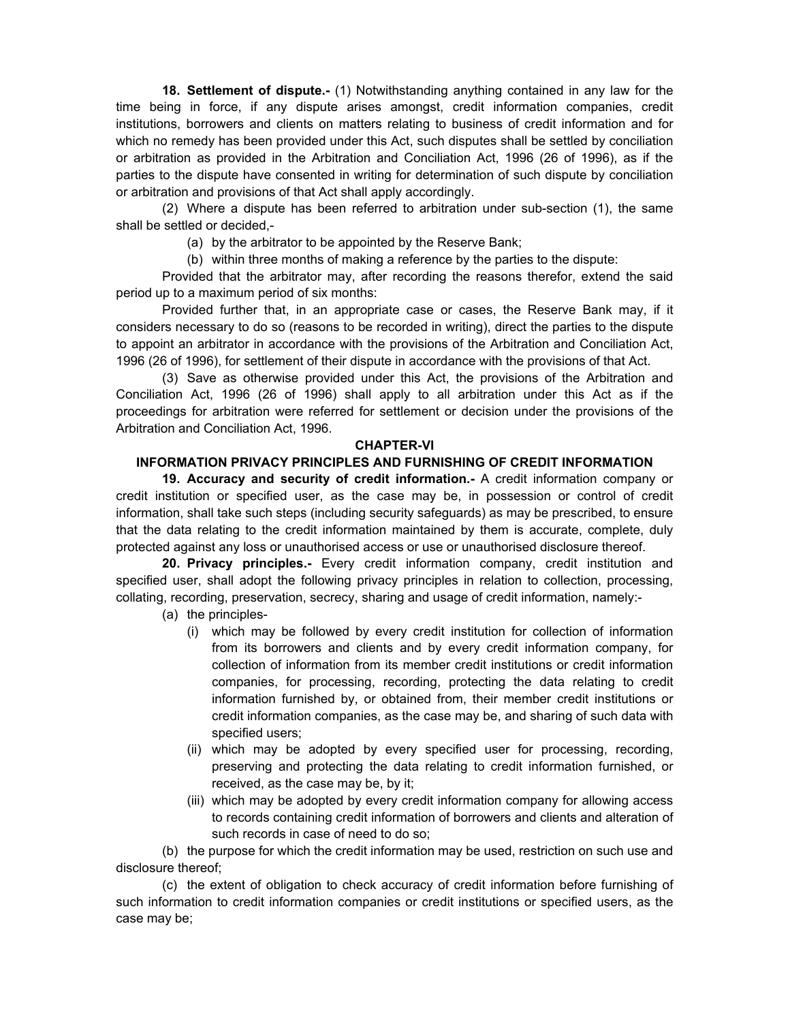**18. Settlement of dispute.-** (1) Notwithstanding anything contained in any law for the time being in force, if any dispute arises amongst, credit information companies, credit institutions, borrowers and clients on matters relating to business of credit information and for which no remedy has been provided under this Act, such disputes shall be settled by conciliation or arbitration as provided in the Arbitration and Conciliation Act, 1996 (26 of 1996), as if the parties to the dispute have consented in writing for determination of such dispute by conciliation or arbitration and provisions of that Act shall apply accordingly.

(2) Where a dispute has been referred to arbitration under sub-section (1), the same shall be settled or decided,-

(a) by the arbitrator to be appointed by the Reserve Bank;

(b) within three months of making a reference by the parties to the dispute:

Provided that the arbitrator may, after recording the reasons therefor, extend the said period up to a maximum period of six months:

Provided further that, in an appropriate case or cases, the Reserve Bank may, if it considers necessary to do so (reasons to be recorded in writing), direct the parties to the dispute to appoint an arbitrator in accordance with the provisions of the Arbitration and Conciliation Act, 1996 (26 of 1996), for settlement of their dispute in accordance with the provisions of that Act.

(3) Save as otherwise provided under this Act, the provisions of the Arbitration and Conciliation Act, 1996 (26 of 1996) shall apply to all arbitration under this Act as if the proceedings for arbitration were referred for settlement or decision under the provisions of the Arbitration and Conciliation Act, 1996.

#### **CHAPTER-VI**

#### **INFORMATION PRIVACY PRINCIPLES AND FURNISHING OF CREDIT INFORMATION**

**19. Accuracy and security of credit information.-** A credit information company or credit institution or specified user, as the case may be, in possession or control of credit information, shall take such steps (including security safeguards) as may be prescribed, to ensure that the data relating to the credit information maintained by them is accurate, complete, duly protected against any loss or unauthorised access or use or unauthorised disclosure thereof.

 **20. Privacy principles.-** Every credit information company, credit institution and specified user, shall adopt the following privacy principles in relation to collection, processing, collating, recording, preservation, secrecy, sharing and usage of credit information, namely:-

(a) the principles-

- (i) which may be followed by every credit institution for collection of information from its borrowers and clients and by every credit information company, for collection of information from its member credit institutions or credit information companies, for processing, recording, protecting the data relating to credit information furnished by, or obtained from, their member credit institutions or credit information companies, as the case may be, and sharing of such data with specified users;
- (ii) which may be adopted by every specified user for processing, recording, preserving and protecting the data relating to credit information furnished, or received, as the case may be, by it;
- (iii) which may be adopted by every credit information company for allowing access to records containing credit information of borrowers and clients and alteration of such records in case of need to do so;

(b) the purpose for which the credit information may be used, restriction on such use and disclosure thereof;

(c) the extent of obligation to check accuracy of credit information before furnishing of such information to credit information companies or credit institutions or specified users, as the case may be;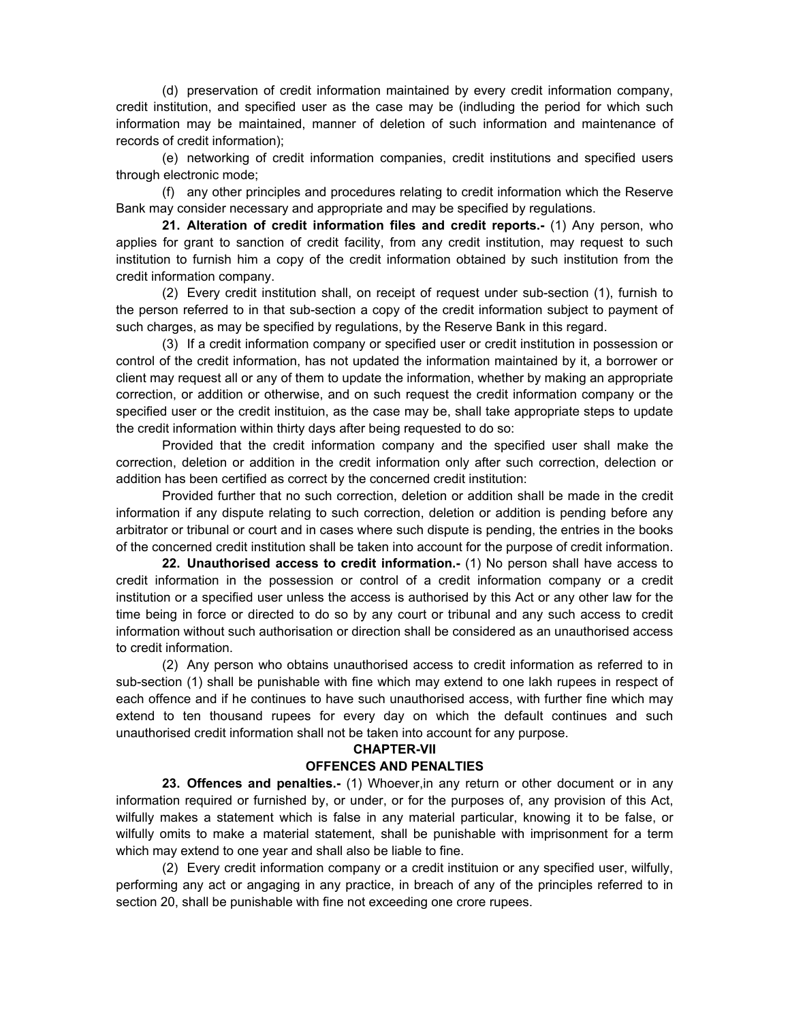(d) preservation of credit information maintained by every credit information company, credit institution, and specified user as the case may be (indluding the period for which such information may be maintained, manner of deletion of such information and maintenance of records of credit information);

(e) networking of credit information companies, credit institutions and specified users through electronic mode;

(f) any other principles and procedures relating to credit information which the Reserve Bank may consider necessary and appropriate and may be specified by regulations.

**21. Alteration of credit information files and credit reports.-** (1) Any person, who applies for grant to sanction of credit facility, from any credit institution, may request to such institution to furnish him a copy of the credit information obtained by such institution from the credit information company.

(2) Every credit institution shall, on receipt of request under sub-section (1), furnish to the person referred to in that sub-section a copy of the credit information subject to payment of such charges, as may be specified by regulations, by the Reserve Bank in this regard.

(3) If a credit information company or specified user or credit institution in possession or control of the credit information, has not updated the information maintained by it, a borrower or client may request all or any of them to update the information, whether by making an appropriate correction, or addition or otherwise, and on such request the credit information company or the specified user or the credit instituion, as the case may be, shall take appropriate steps to update the credit information within thirty days after being requested to do so:

Provided that the credit information company and the specified user shall make the correction, deletion or addition in the credit information only after such correction, delection or addition has been certified as correct by the concerned credit institution:

Provided further that no such correction, deletion or addition shall be made in the credit information if any dispute relating to such correction, deletion or addition is pending before any arbitrator or tribunal or court and in cases where such dispute is pending, the entries in the books of the concerned credit institution shall be taken into account for the purpose of credit information.

**22. Unauthorised access to credit information.-** (1) No person shall have access to credit information in the possession or control of a credit information company or a credit institution or a specified user unless the access is authorised by this Act or any other law for the time being in force or directed to do so by any court or tribunal and any such access to credit information without such authorisation or direction shall be considered as an unauthorised access to credit information.

(2) Any person who obtains unauthorised access to credit information as referred to in sub-section (1) shall be punishable with fine which may extend to one lakh rupees in respect of each offence and if he continues to have such unauthorised access, with further fine which may extend to ten thousand rupees for every day on which the default continues and such unauthorised credit information shall not be taken into account for any purpose.

#### **CHAPTER-VII**

### **OFFENCES AND PENALTIES**

**23. Offences and penalties.-** (1) Whoever,in any return or other document or in any information required or furnished by, or under, or for the purposes of, any provision of this Act, wilfully makes a statement which is false in any material particular, knowing it to be false, or wilfully omits to make a material statement, shall be punishable with imprisonment for a term which may extend to one year and shall also be liable to fine.

(2) Every credit information company or a credit instituion or any specified user, wilfully, performing any act or angaging in any practice, in breach of any of the principles referred to in section 20, shall be punishable with fine not exceeding one crore rupees.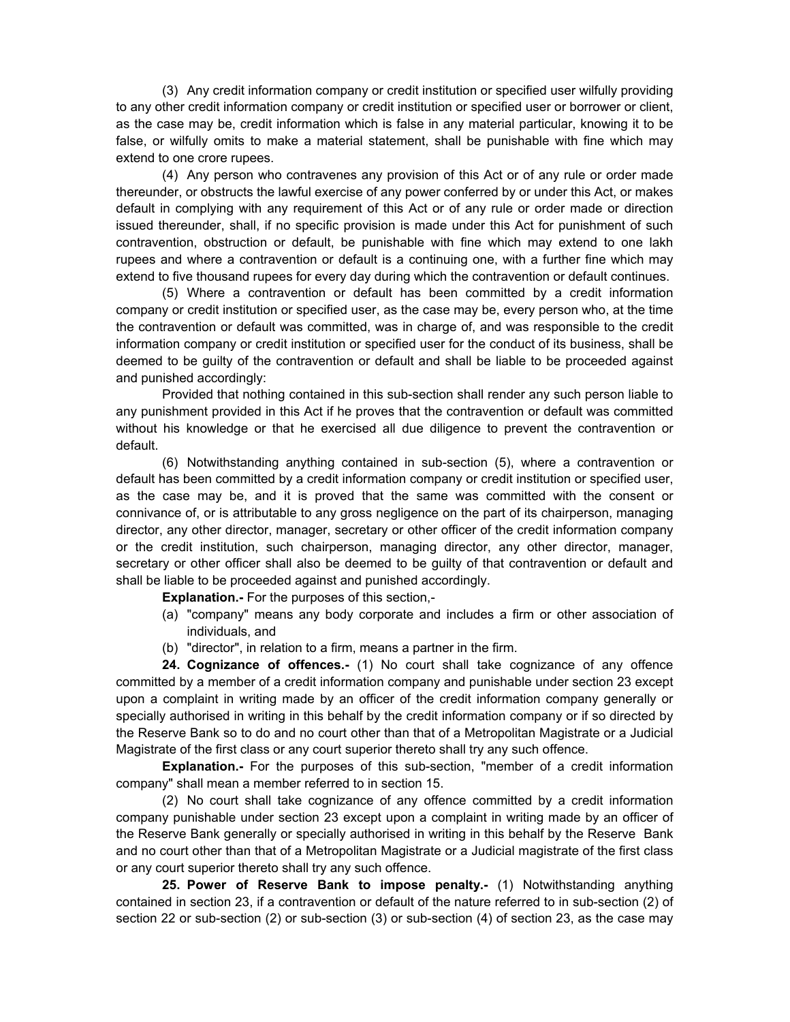(3) Any credit information company or credit institution or specified user wilfully providing to any other credit information company or credit institution or specified user or borrower or client, as the case may be, credit information which is false in any material particular, knowing it to be false, or wilfully omits to make a material statement, shall be punishable with fine which may extend to one crore rupees.

(4) Any person who contravenes any provision of this Act or of any rule or order made thereunder, or obstructs the lawful exercise of any power conferred by or under this Act, or makes default in complying with any requirement of this Act or of any rule or order made or direction issued thereunder, shall, if no specific provision is made under this Act for punishment of such contravention, obstruction or default, be punishable with fine which may extend to one lakh rupees and where a contravention or default is a continuing one, with a further fine which may extend to five thousand rupees for every day during which the contravention or default continues.

(5) Where a contravention or default has been committed by a credit information company or credit institution or specified user, as the case may be, every person who, at the time the contravention or default was committed, was in charge of, and was responsible to the credit information company or credit institution or specified user for the conduct of its business, shall be deemed to be guilty of the contravention or default and shall be liable to be proceeded against and punished accordingly:

Provided that nothing contained in this sub-section shall render any such person liable to any punishment provided in this Act if he proves that the contravention or default was committed without his knowledge or that he exercised all due diligence to prevent the contravention or default.

(6) Notwithstanding anything contained in sub-section (5), where a contravention or default has been committed by a credit information company or credit institution or specified user, as the case may be, and it is proved that the same was committed with the consent or connivance of, or is attributable to any gross negligence on the part of its chairperson, managing director, any other director, manager, secretary or other officer of the credit information company or the credit institution, such chairperson, managing director, any other director, manager, secretary or other officer shall also be deemed to be guilty of that contravention or default and shall be liable to be proceeded against and punished accordingly.

**Explanation.-** For the purposes of this section,-

- (a) "company" means any body corporate and includes a firm or other association of individuals, and
- (b) "director", in relation to a firm, means a partner in the firm.

**24. Cognizance of offences.-** (1) No court shall take cognizance of any offence committed by a member of a credit information company and punishable under section 23 except upon a complaint in writing made by an officer of the credit information company generally or specially authorised in writing in this behalf by the credit information company or if so directed by the Reserve Bank so to do and no court other than that of a Metropolitan Magistrate or a Judicial Magistrate of the first class or any court superior thereto shall try any such offence.

**Explanation.-** For the purposes of this sub-section, "member of a credit information company" shall mean a member referred to in section 15.

(2) No court shall take cognizance of any offence committed by a credit information company punishable under section 23 except upon a complaint in writing made by an officer of the Reserve Bank generally or specially authorised in writing in this behalf by the Reserve Bank and no court other than that of a Metropolitan Magistrate or a Judicial magistrate of the first class or any court superior thereto shall try any such offence.

**25. Power of Reserve Bank to impose penalty.-** (1) Notwithstanding anything contained in section 23, if a contravention or default of the nature referred to in sub-section (2) of section 22 or sub-section (2) or sub-section (3) or sub-section (4) of section 23, as the case may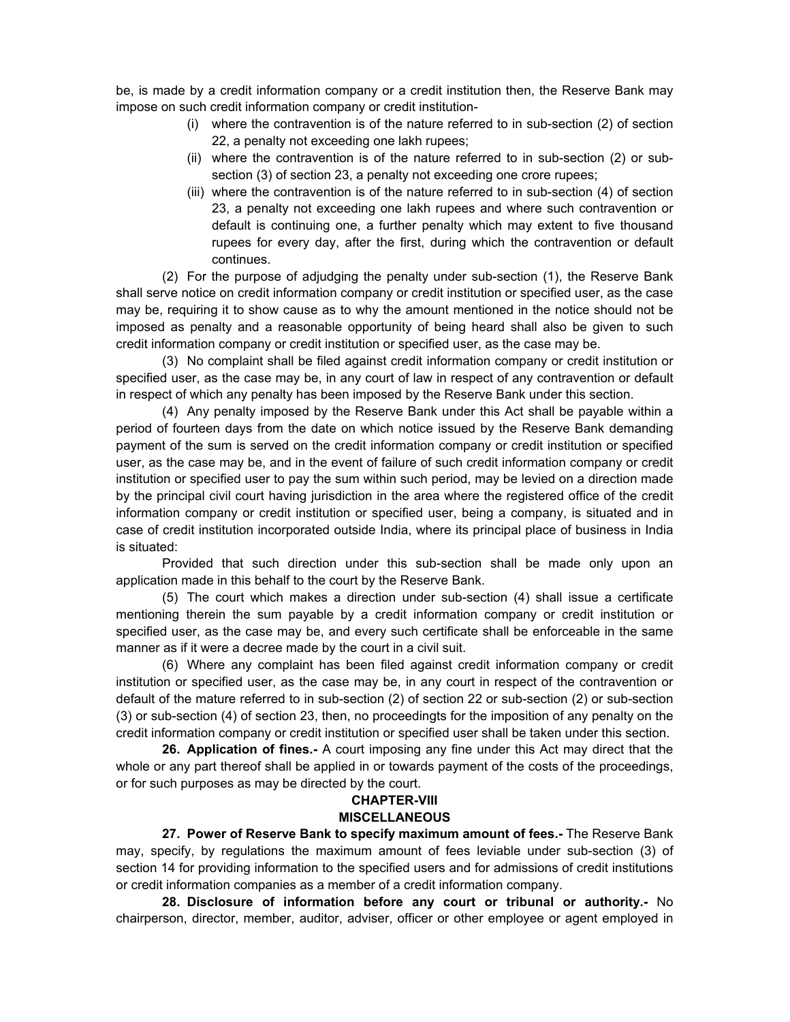be, is made by a credit information company or a credit institution then, the Reserve Bank may impose on such credit information company or credit institution-

- (i) where the contravention is of the nature referred to in sub-section (2) of section 22, a penalty not exceeding one lakh rupees;
- (ii) where the contravention is of the nature referred to in sub-section (2) or subsection (3) of section 23, a penalty not exceeding one crore rupees;
- (iii) where the contravention is of the nature referred to in sub-section (4) of section 23, a penalty not exceeding one lakh rupees and where such contravention or default is continuing one, a further penalty which may extent to five thousand rupees for every day, after the first, during which the contravention or default continues.

(2) For the purpose of adjudging the penalty under sub-section (1), the Reserve Bank shall serve notice on credit information company or credit institution or specified user, as the case may be, requiring it to show cause as to why the amount mentioned in the notice should not be imposed as penalty and a reasonable opportunity of being heard shall also be given to such credit information company or credit institution or specified user, as the case may be.

(3) No complaint shall be filed against credit information company or credit institution or specified user, as the case may be, in any court of law in respect of any contravention or default in respect of which any penalty has been imposed by the Reserve Bank under this section.

(4) Any penalty imposed by the Reserve Bank under this Act shall be payable within a period of fourteen days from the date on which notice issued by the Reserve Bank demanding payment of the sum is served on the credit information company or credit institution or specified user, as the case may be, and in the event of failure of such credit information company or credit institution or specified user to pay the sum within such period, may be levied on a direction made by the principal civil court having jurisdiction in the area where the registered office of the credit information company or credit institution or specified user, being a company, is situated and in case of credit institution incorporated outside India, where its principal place of business in India is situated:

Provided that such direction under this sub-section shall be made only upon an application made in this behalf to the court by the Reserve Bank.

(5) The court which makes a direction under sub-section (4) shall issue a certificate mentioning therein the sum payable by a credit information company or credit institution or specified user, as the case may be, and every such certificate shall be enforceable in the same manner as if it were a decree made by the court in a civil suit.

(6) Where any complaint has been filed against credit information company or credit institution or specified user, as the case may be, in any court in respect of the contravention or default of the mature referred to in sub-section (2) of section 22 or sub-section (2) or sub-section (3) or sub-section (4) of section 23, then, no proceedingts for the imposition of any penalty on the credit information company or credit institution or specified user shall be taken under this section.

**26. Application of fines.-** A court imposing any fine under this Act may direct that the whole or any part thereof shall be applied in or towards payment of the costs of the proceedings, or for such purposes as may be directed by the court.

#### **CHAPTER-VIII MISCELLANEOUS**

**27. Power of Reserve Bank to specify maximum amount of fees.-** The Reserve Bank may, specify, by regulations the maximum amount of fees leviable under sub-section (3) of section 14 for providing information to the specified users and for admissions of credit institutions or credit information companies as a member of a credit information company.

**28. Disclosure of information before any court or tribunal or authority.-** No chairperson, director, member, auditor, adviser, officer or other employee or agent employed in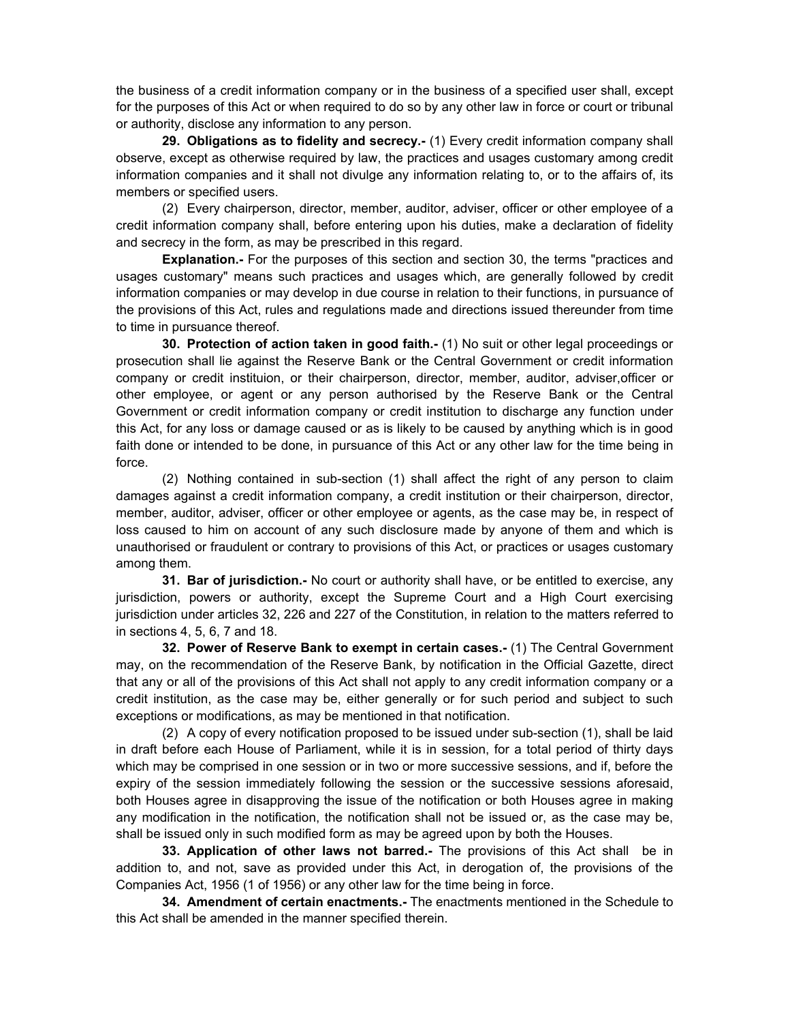the business of a credit information company or in the business of a specified user shall, except for the purposes of this Act or when required to do so by any other law in force or court or tribunal or authority, disclose any information to any person.

**29. Obligations as to fidelity and secrecy.-** (1) Every credit information company shall observe, except as otherwise required by law, the practices and usages customary among credit information companies and it shall not divulge any information relating to, or to the affairs of, its members or specified users.

(2) Every chairperson, director, member, auditor, adviser, officer or other employee of a credit information company shall, before entering upon his duties, make a declaration of fidelity and secrecy in the form, as may be prescribed in this regard.

**Explanation.-** For the purposes of this section and section 30, the terms "practices and usages customary" means such practices and usages which, are generally followed by credit information companies or may develop in due course in relation to their functions, in pursuance of the provisions of this Act, rules and regulations made and directions issued thereunder from time to time in pursuance thereof.

**30. Protection of action taken in good faith.-** (1) No suit or other legal proceedings or prosecution shall lie against the Reserve Bank or the Central Government or credit information company or credit instituion, or their chairperson, director, member, auditor, adviser,officer or other employee, or agent or any person authorised by the Reserve Bank or the Central Government or credit information company or credit institution to discharge any function under this Act, for any loss or damage caused or as is likely to be caused by anything which is in good faith done or intended to be done, in pursuance of this Act or any other law for the time being in force.

(2) Nothing contained in sub-section (1) shall affect the right of any person to claim damages against a credit information company, a credit institution or their chairperson, director, member, auditor, adviser, officer or other employee or agents, as the case may be, in respect of loss caused to him on account of any such disclosure made by anyone of them and which is unauthorised or fraudulent or contrary to provisions of this Act, or practices or usages customary among them.

**31. Bar of jurisdiction.-** No court or authority shall have, or be entitled to exercise, any jurisdiction, powers or authority, except the Supreme Court and a High Court exercising jurisdiction under articles 32, 226 and 227 of the Constitution, in relation to the matters referred to in sections 4, 5, 6, 7 and 18.

**32. Power of Reserve Bank to exempt in certain cases.-** (1) The Central Government may, on the recommendation of the Reserve Bank, by notification in the Official Gazette, direct that any or all of the provisions of this Act shall not apply to any credit information company or a credit institution, as the case may be, either generally or for such period and subject to such exceptions or modifications, as may be mentioned in that notification.

(2) A copy of every notification proposed to be issued under sub-section (1), shall be laid in draft before each House of Parliament, while it is in session, for a total period of thirty days which may be comprised in one session or in two or more successive sessions, and if, before the expiry of the session immediately following the session or the successive sessions aforesaid, both Houses agree in disapproving the issue of the notification or both Houses agree in making any modification in the notification, the notification shall not be issued or, as the case may be, shall be issued only in such modified form as may be agreed upon by both the Houses.

**33. Application of other laws not barred.-** The provisions of this Act shall be in addition to, and not, save as provided under this Act, in derogation of, the provisions of the Companies Act, 1956 (1 of 1956) or any other law for the time being in force.

**34. Amendment of certain enactments.-** The enactments mentioned in the Schedule to this Act shall be amended in the manner specified therein.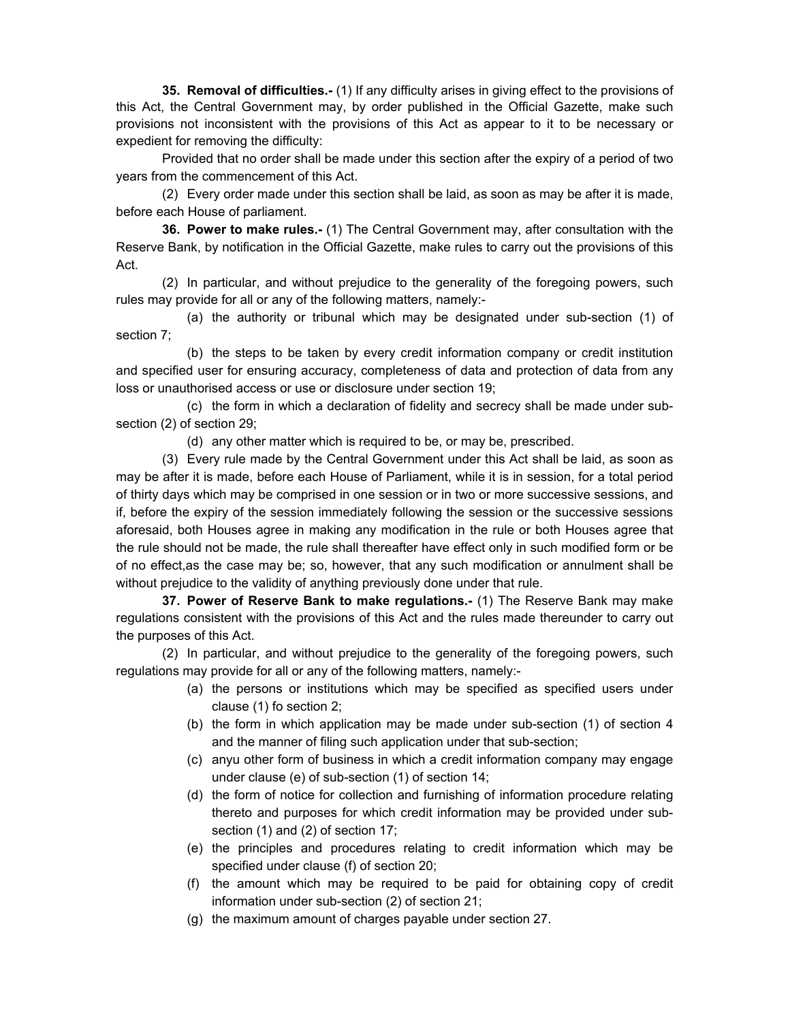**35. Removal of difficulties.-** (1) If any difficulty arises in giving effect to the provisions of this Act, the Central Government may, by order published in the Official Gazette, make such provisions not inconsistent with the provisions of this Act as appear to it to be necessary or expedient for removing the difficulty:

Provided that no order shall be made under this section after the expiry of a period of two years from the commencement of this Act.

(2) Every order made under this section shall be laid, as soon as may be after it is made, before each House of parliament.

**36. Power to make rules.-** (1) The Central Government may, after consultation with the Reserve Bank, by notification in the Official Gazette, make rules to carry out the provisions of this Act.

(2) In particular, and without prejudice to the generality of the foregoing powers, such rules may provide for all or any of the following matters, namely:-

(a) the authority or tribunal which may be designated under sub-section (1) of section 7;

(b) the steps to be taken by every credit information company or credit institution and specified user for ensuring accuracy, completeness of data and protection of data from any loss or unauthorised access or use or disclosure under section 19;

(c) the form in which a declaration of fidelity and secrecy shall be made under subsection (2) of section 29;

(d) any other matter which is required to be, or may be, prescribed.

(3) Every rule made by the Central Government under this Act shall be laid, as soon as may be after it is made, before each House of Parliament, while it is in session, for a total period of thirty days which may be comprised in one session or in two or more successive sessions, and if, before the expiry of the session immediately following the session or the successive sessions aforesaid, both Houses agree in making any modification in the rule or both Houses agree that the rule should not be made, the rule shall thereafter have effect only in such modified form or be of no effect,as the case may be; so, however, that any such modification or annulment shall be without prejudice to the validity of anything previously done under that rule.

**37. Power of Reserve Bank to make regulations.-** (1) The Reserve Bank may make regulations consistent with the provisions of this Act and the rules made thereunder to carry out the purposes of this Act.

(2) In particular, and without prejudice to the generality of the foregoing powers, such regulations may provide for all or any of the following matters, namely:-

- (a) the persons or institutions which may be specified as specified users under clause (1) fo section 2;
- (b) the form in which application may be made under sub-section (1) of section 4 and the manner of filing such application under that sub-section;
- (c) anyu other form of business in which a credit information company may engage under clause (e) of sub-section (1) of section 14;
- (d) the form of notice for collection and furnishing of information procedure relating thereto and purposes for which credit information may be provided under subsection (1) and (2) of section 17;
- (e) the principles and procedures relating to credit information which may be specified under clause (f) of section 20;
- (f) the amount which may be required to be paid for obtaining copy of credit information under sub-section (2) of section 21;
- (g) the maximum amount of charges payable under section 27.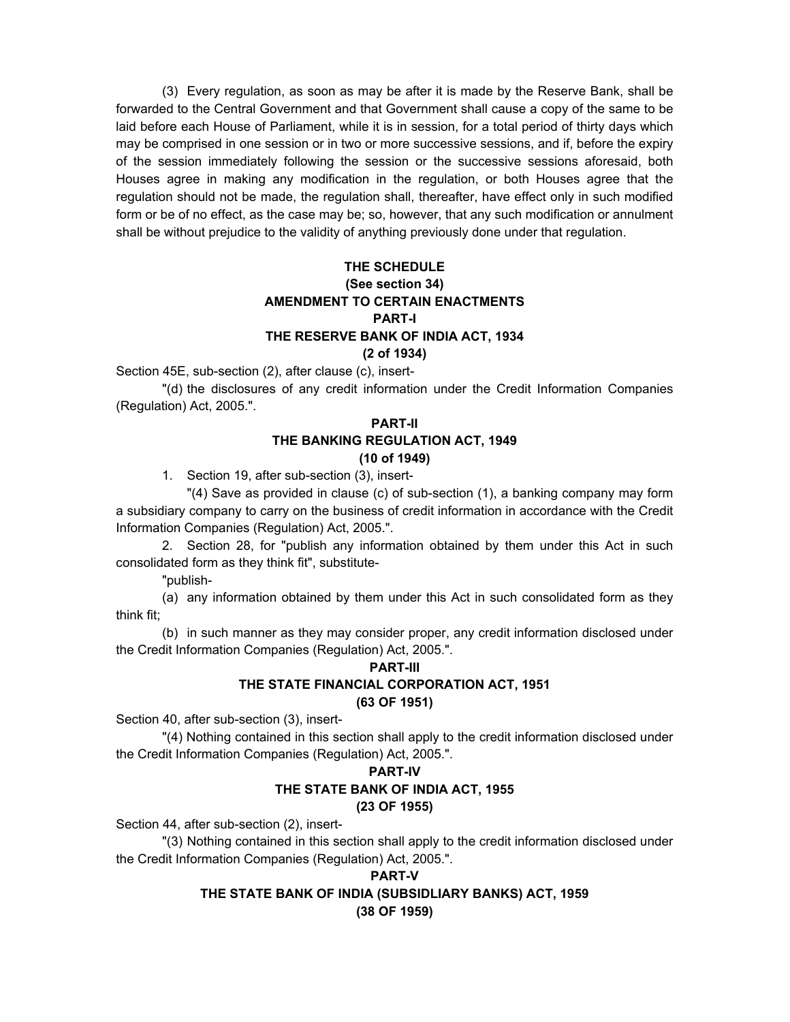(3) Every regulation, as soon as may be after it is made by the Reserve Bank, shall be forwarded to the Central Government and that Government shall cause a copy of the same to be laid before each House of Parliament, while it is in session, for a total period of thirty days which may be comprised in one session or in two or more successive sessions, and if, before the expiry of the session immediately following the session or the successive sessions aforesaid, both Houses agree in making any modification in the regulation, or both Houses agree that the regulation should not be made, the regulation shall, thereafter, have effect only in such modified form or be of no effect, as the case may be; so, however, that any such modification or annulment shall be without prejudice to the validity of anything previously done under that regulation.

## **THE SCHEDULE (See section 34) AMENDMENT TO CERTAIN ENACTMENTS PART-I THE RESERVE BANK OF INDIA ACT, 1934 (2 of 1934)**

Section 45E, sub-section (2), after clause (c), insert-

"(d) the disclosures of any credit information under the Credit Information Companies (Regulation) Act, 2005.".

### **PART-II THE BANKING REGULATION ACT, 1949 (10 of 1949)**

1. Section 19, after sub-section (3), insert-

"(4) Save as provided in clause (c) of sub-section (1), a banking company may form a subsidiary company to carry on the business of credit information in accordance with the Credit Information Companies (Regulation) Act, 2005.".

2. Section 28, for "publish any information obtained by them under this Act in such consolidated form as they think fit", substitute-

"publish-

(a) any information obtained by them under this Act in such consolidated form as they think fit;

(b) in such manner as they may consider proper, any credit information disclosed under the Credit Information Companies (Regulation) Act, 2005.".

### **PART-III THE STATE FINANCIAL CORPORATION ACT, 1951 (63 OF 1951)**

Section 40, after sub-section (3), insert-

"(4) Nothing contained in this section shall apply to the credit information disclosed under the Credit Information Companies (Regulation) Act, 2005.".

## **PART-IV**

## **THE STATE BANK OF INDIA ACT, 1955**

## **(23 OF 1955)**

Section 44, after sub-section (2), insert-

"(3) Nothing contained in this section shall apply to the credit information disclosed under the Credit Information Companies (Regulation) Act, 2005.".

## **PART-V THE STATE BANK OF INDIA (SUBSIDLIARY BANKS) ACT, 1959 (38 OF 1959)**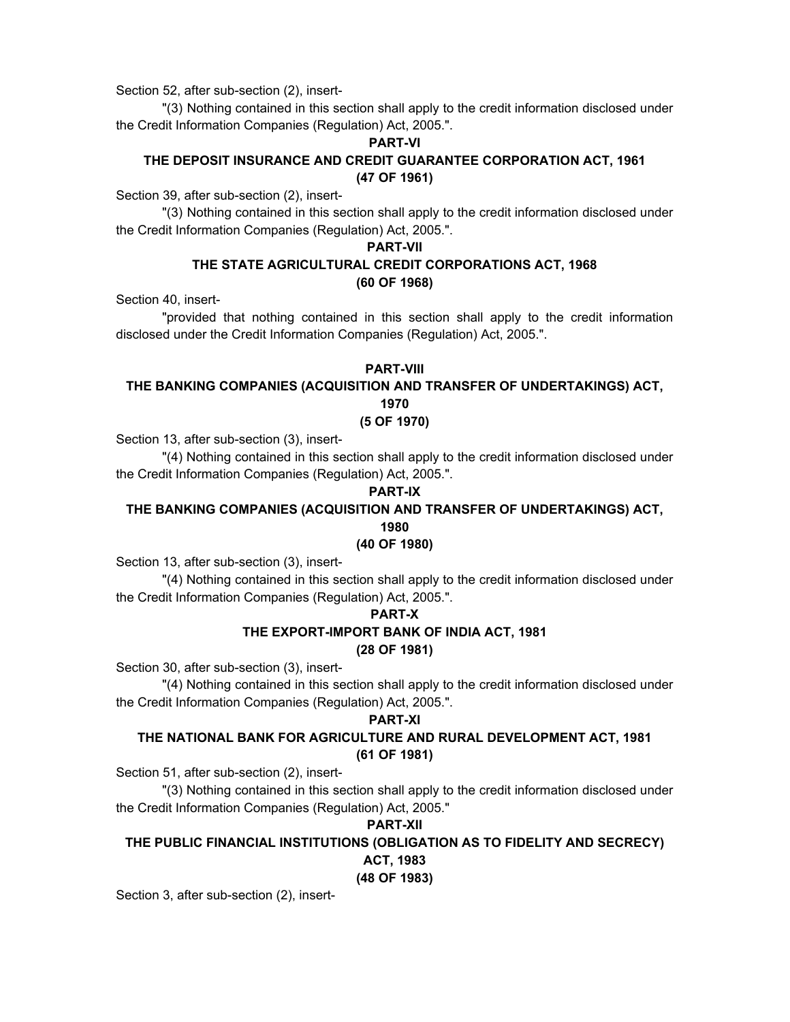Section 52, after sub-section (2), insert-

"(3) Nothing contained in this section shall apply to the credit information disclosed under the Credit Information Companies (Regulation) Act, 2005.".

#### **PART-VI**

## **THE DEPOSIT INSURANCE AND CREDIT GUARANTEE CORPORATION ACT, 1961 (47 OF 1961)**

Section 39, after sub-section (2), insert-

"(3) Nothing contained in this section shall apply to the credit information disclosed under the Credit Information Companies (Regulation) Act, 2005.".

#### **PART-VII**

## **THE STATE AGRICULTURAL CREDIT CORPORATIONS ACT, 1968 (60 OF 1968)**

Section 40, insert-

"provided that nothing contained in this section shall apply to the credit information disclosed under the Credit Information Companies (Regulation) Act, 2005.".

### **PART-VIII**

## **THE BANKING COMPANIES (ACQUISITION AND TRANSFER OF UNDERTAKINGS) ACT, 1970**

**(5 OF 1970)** 

Section 13, after sub-section (3), insert-

"(4) Nothing contained in this section shall apply to the credit information disclosed under the Credit Information Companies (Regulation) Act, 2005.".

## **PART-IX**

## **THE BANKING COMPANIES (ACQUISITION AND TRANSFER OF UNDERTAKINGS) ACT,**

**1980** 

## **(40 OF 1980)**

Section 13, after sub-section (3), insert-

"(4) Nothing contained in this section shall apply to the credit information disclosed under the Credit Information Companies (Regulation) Act, 2005.".

## **PART-X**

# **THE EXPORT-IMPORT BANK OF INDIA ACT, 1981**

## **(28 OF 1981)**

Section 30, after sub-section (3), insert-

"(4) Nothing contained in this section shall apply to the credit information disclosed under the Credit Information Companies (Regulation) Act, 2005.".

## **PART-XI**

## **THE NATIONAL BANK FOR AGRICULTURE AND RURAL DEVELOPMENT ACT, 1981 (61 OF 1981)**

Section 51, after sub-section (2), insert-

"(3) Nothing contained in this section shall apply to the credit information disclosed under the Credit Information Companies (Regulation) Act, 2005."

## **PART-XII**

# **THE PUBLIC FINANCIAL INSTITUTIONS (OBLIGATION AS TO FIDELITY AND SECRECY)**

# **ACT, 1983**

**(48 OF 1983)** 

Section 3, after sub-section (2), insert-